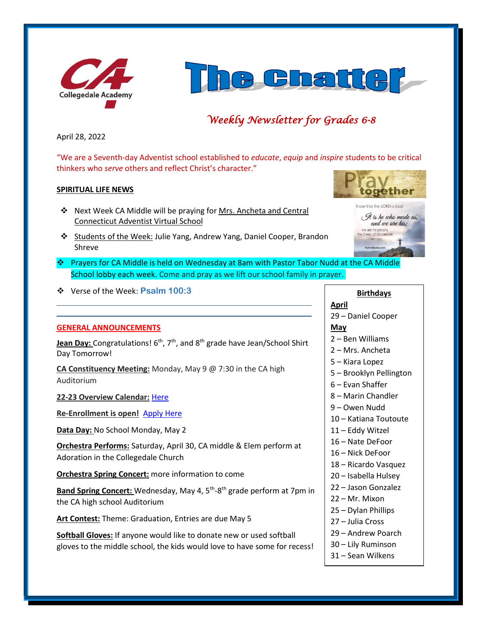



# *Weekly Newsletter for Grades 6-8*

April 28, 2022

"We are a Seventh-day Adventist school established to *educate*, *equip* and *inspire* students to be critical thinkers who *serve* others and reflect Christ's character."

## **SPIRITUAL LIFE NEWS**

- ❖ Next Week CA Middle will be praying for Mrs. Ancheta and Central Connecticut Adventist Virtual School
- ❖ Students of the Week: Julie Yang, Andrew Yang, Daniel Cooper, Brandon Shreve
- ❖ Prayers for CA Middle is held on Wednesday at 8am with Pastor Tabor Nudd at the CA Middle School lobby each week. Come and pray as we lift our school family in prayer.
- ❖ Verse of the Week: **Psalm 100:3**

## **GENERAL ANNOUNCEMENTS**

Jean Day: Congratulations! 6<sup>th</sup>, 7<sup>th</sup>, and 8<sup>th</sup> grade have Jean/School Shirt Day Tomorrow!

**CA Constituency Meeting:** Monday, May 9 @ 7:30 in the CA high Auditorium

**22-23 Overview Calendar:** [Here](https://www.collegedaleacademy.com/wp-content/uploads/2022/04/2022-23-Overview-Calendar-middle.pdf)

**Re-Enrollment is open!** [Apply Here](http://collegedaleacademy.com/apply)

**Data Day:** No School Monday, May 2

**Orchestra Performs:** Saturday, April 30, CA middle & Elem perform at Adoration in the Collegedale Church

**Orchestra Spring Concert:** more information to come

Band Spring Concert: Wednesday, May 4, 5<sup>th</sup>-8<sup>th</sup> grade perform at 7pm in the CA high school Auditorium

**Art Contest:** Theme: Graduation, Entries are due May 5

**Softball Gloves:** If anyone would like to donate new or used softball gloves to the middle school, the kids would love to have some for recess!



## **Birthdays April**

29 – Daniel Cooper

### **May**

- 2 Ben Williams
- 2 Mrs. Ancheta
- 5 Kiara Lopez
- 5 Brooklyn Pellington
- 6 Evan Shaffer
- 8 Marin Chandler
- 9 Owen Nudd
- 10 Katiana Toutoute
- 11 Eddy Witzel
- 16 Nate DeFoor
- 16 Nick DeFoor
- 18 Ricardo Vasquez
- 20 Isabella Hulsey
- 22 Jason Gonzalez
- 22 Mr. Mixon
- 25 Dylan Phillips
- 27 Julia Cross
- 29 Andrew Poarch
- 30 Lily Ruminson
- 31 Sean Wilkens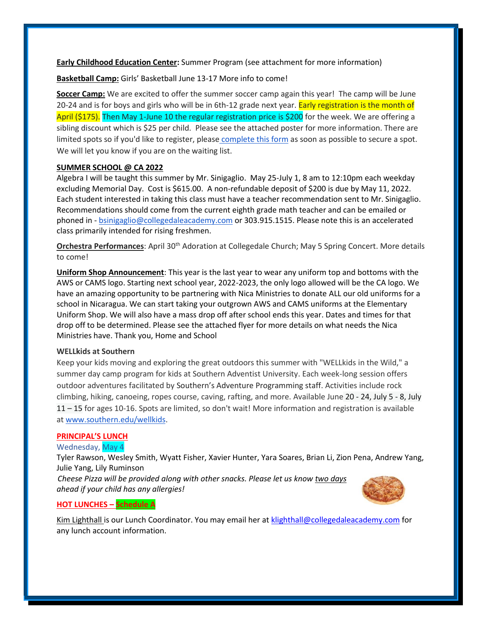**Early Childhood Education Center:** Summer Program (see attachment for more information)

**Basketball Camp:** Girls' Basketball June 13-17 More info to come!

**Soccer Camp:** We are excited to offer the summer soccer camp again this year! The camp will be June 20-24 and is for boys and girls who will be in 6th-12 grade next year. Early registration is the month of April (\$175). Then May 1-June 10 the regular registration price is \$200 for the week. We are offering a sibling discount which is \$25 per child. Please see the attached poster for more information. There are limited spots so if you'd like to register, please [complete this form](https://forms.gle/cvV8zJutoMjgpXwMA) as soon as possible to secure a spot. We will let you know if you are on the waiting list.

## **SUMMER SCHOOL @ CA 2022**

Algebra I will be taught this summer by Mr. Sinigaglio. May 25-July 1, 8 am to 12:10pm each weekday excluding Memorial Day. Cost is \$615.00. A non-refundable deposit of \$200 is due by May 11, 2022. Each student interested in taking this class must have a teacher recommendation sent to Mr. Sinigaglio. Recommendations should come from the current eighth grade math teacher and can be emailed or phoned in - [bsinigaglio@collegedaleacademy.com](mailto:bsinigaglio@collegedaleacademy.com) or 303.915.1515. Please note this is an accelerated class primarily intended for rising freshmen.

**Orchestra Performances**: April 30th Adoration at Collegedale Church; May 5 Spring Concert. More details to come!

**Uniform Shop Announcement**: This year is the last year to wear any uniform top and bottoms with the AWS or CAMS logo. Starting next school year, 2022-2023, the only logo allowed will be the CA logo. We have an amazing opportunity to be partnering with Nica Ministries to donate ALL our old uniforms for a school in Nicaragua. We can start taking your outgrown AWS and CAMS uniforms at the Elementary Uniform Shop. We will also have a mass drop off after school ends this year. Dates and times for that drop off to be determined. Please see the attached flyer for more details on what needs the Nica Ministries have. Thank you, Home and School

### **WELLkids at Southern**

Keep your kids moving and exploring the great outdoors this summer with "WELLkids in the Wild," a summer day camp program for kids at Southern Adventist University. Each week-long session offers outdoor adventures facilitated by Southern's Adventure Programming staff. Activities include rock climbing, hiking, canoeing, ropes course, caving, rafting, and more. Available June 20 - 24, July 5 - 8, July 11 – 15 for ages 10-16. Spots are limited, so don't wait! More information and registration is available at [www.southern.edu/wellkids.](http://www.southern.edu/wellkids)

### **PRINCIPAL'S LUNCH**

Wednesday, May 4

Tyler Rawson, Wesley Smith, Wyatt Fisher, Xavier Hunter, Yara Soares, Brian Li, Zion Pena, Andrew Yang, Julie Yang, Lily Ruminson

*Cheese Pizza will be provided along with other snacks. Please let us know two days ahead if your child has any allergies!*



## **HOT LUNCHES – Schedule A**

Kim Lighthall is our Lunch Coordinator. You may email her a[t klighthall@collegedaleacademy.com](mailto:klighthall@collegedaleacademy.com) for any lunch account information.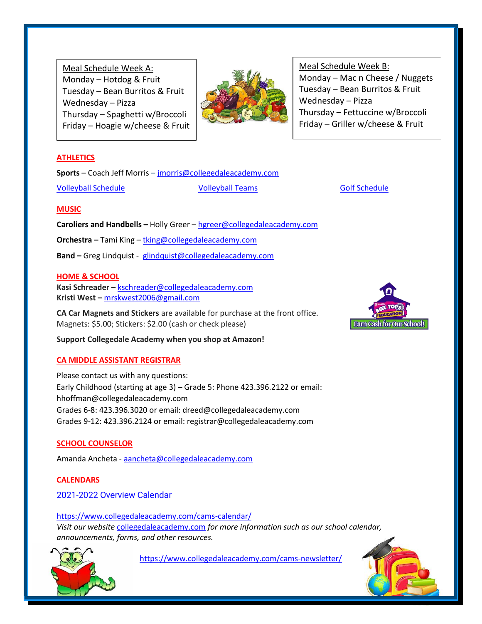Meal Schedule Week A: Monday – Hotdog  $&$  Fruit Tuesday – Bean Burritos & Fruit Wednesday – Pizza Thursday – Spaghetti w/Broccoli Friday – Hoagie w/cheese & Fruit



Meal Schedule Week B: Monday – Mac n Cheese / Nuggets Tuesday – Bean Burritos & Fruit Wednesday – Pizza Thursday – Fettuccine w/Broccoli Friday – Griller w/cheese & Fruit

## **ATHLETICS**

**Sports** – Coach Jeff Morris – [jmorris@collegedaleacademy.com](mailto:jmorris@collegedaleacademy.com)

[Volleyball Schedule](https://www.collegedaleacademy.com/wp-content/uploads/2022/02/2022-Volleyball-schedule.pdf) [Volleyball Teams](https://www.collegedaleacademy.com/wp-content/uploads/2022/02/2021-2022-Volleyball-Teams-1.pdf) [Golf Schedule](https://www.collegedaleacademy.com/wp-content/uploads/2022/03/2022-ISC-Golf-Schedule.pdf)

## **MUSIC**

**Caroliers and Handbells –** Holly Greer – [hgreer@collegedaleacademy.com](mailto:hgreer@collegedaleacademy.com)

**Orchestra –** Tami King – [tking@collegedaleacademy.com](mailto:tking@collegedaleacademy.com)

**Band –** Greg Lindquist - [glindquist@collegedaleacademy.com](mailto:glindquist@collegedaleacademy.com)

## **HOME & SCHOOL**

**Kasi Schreader –** [kschreader@collegedaleacademy.com](mailto:kschreader@collegedaleacademy.com) **Kristi West –** [mrskwest2006@gmail.com](mailto:mrskwest2006@gmail.com)

**CA Car Magnets and Stickers** are available for purchase at the front office. Magnets: \$5.00; Stickers: \$2.00 (cash or check please)

**Support Collegedale Academy when you shop at Amazon!**

## **CA MIDDLE ASSISTANT REGISTRAR**

Please contact us with any questions: Early Childhood (starting at age 3) – Grade 5: Phone 423.396.2122 or email: hhoffman@collegedaleacademy.com Grades 6-8: 423.396.3020 or email: dreed@collegedaleacademy.com Grades 9-12: 423.396.2124 or email: registrar@collegedaleacademy.com

## **SCHOOL COUNSELOR**

Amanda Ancheta - [aancheta@collegedaleacademy.com](mailto:aancheta@collegedaleacademy.com)

**CALENDARS** 2021-2022 [Overview Calendar](https://www.collegedaleacademy.com/wp-content/uploads/2021/07/2021-22-Overview-Calendar-middle.pdf)

<https://www.collegedaleacademy.com/cams-calendar/> *Visit our website* [collegedaleacademy.com](https://www.collegedaleacademy.com/) *for more information such as our school calendar, announcements, forms, and other resources.*



<https://www.collegedaleacademy.com/cams-newsletter/>